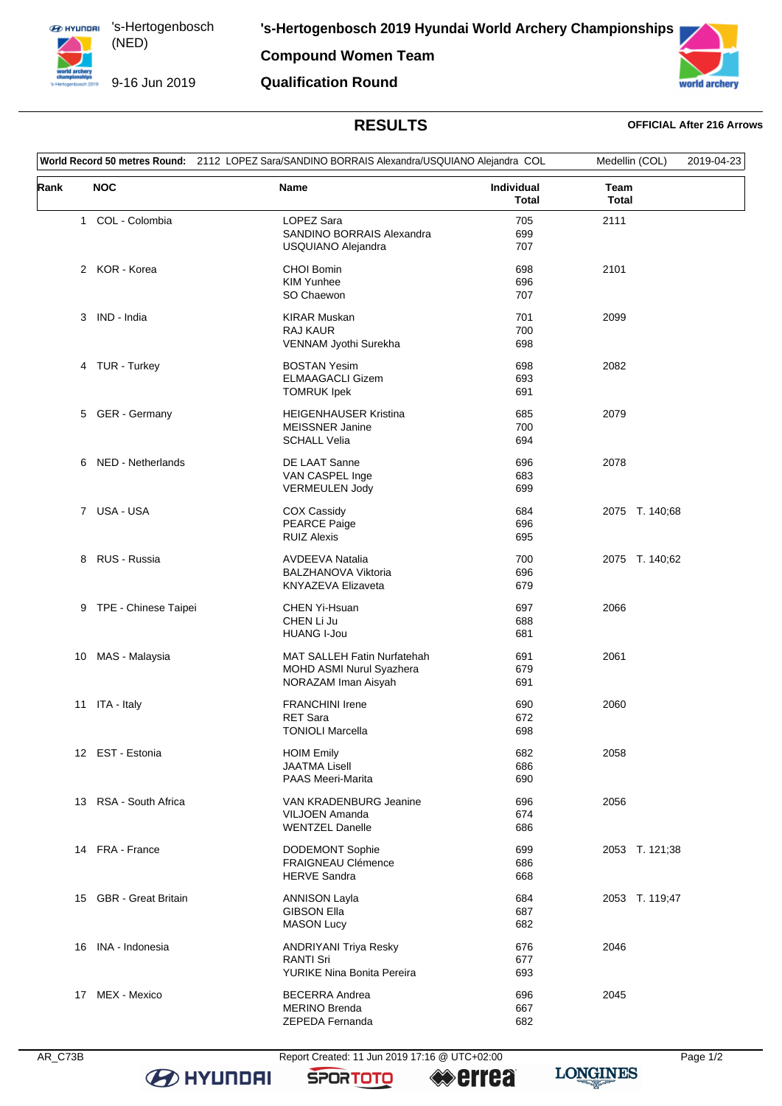**EX HYUNDAI** 's-Hertogenbosch (NED) 

9-16 Jun 2019

**Compound Women Team Qualification Round**



## **RESULTS OFFICIAL After 216 Arrows**

| World Record 50 metres Round: 2112 LOPEZ Sara/SANDINO BORRAIS Alexandra/USQUIANO Alejandra COL |                        |                                                                                       |                            | Medellin (COL)       | 2019-04-23 |
|------------------------------------------------------------------------------------------------|------------------------|---------------------------------------------------------------------------------------|----------------------------|----------------------|------------|
| Rank                                                                                           | <b>NOC</b>             | Name                                                                                  | Individual<br><b>Total</b> | Team<br><b>Total</b> |            |
|                                                                                                | 1 COL - Colombia       | LOPEZ Sara<br>SANDINO BORRAIS Alexandra<br>USQUIANO Alejandra                         | 705<br>699<br>707          | 2111                 |            |
|                                                                                                | 2 KOR - Korea          | <b>CHOI Bomin</b><br><b>KIM Yunhee</b><br>SO Chaewon                                  | 698<br>696<br>707          | 2101                 |            |
|                                                                                                | 3 IND - India          | <b>KIRAR Muskan</b><br><b>RAJ KAUR</b><br>VENNAM Jyothi Surekha                       | 701<br>700<br>698          | 2099                 |            |
|                                                                                                | 4 TUR - Turkey         | <b>BOSTAN Yesim</b><br><b>ELMAAGACLI Gizem</b><br><b>TOMRUK Ipek</b>                  | 698<br>693<br>691          | 2082                 |            |
|                                                                                                | 5 GER - Germany        | <b>HEIGENHAUSER Kristina</b><br><b>MEISSNER Janine</b><br><b>SCHALL Velia</b>         | 685<br>700<br>694          | 2079                 |            |
|                                                                                                | 6 NED - Netherlands    | DE LAAT Sanne<br>VAN CASPEL Inge<br><b>VERMEULEN Jody</b>                             | 696<br>683<br>699          | 2078                 |            |
|                                                                                                | 7 USA-USA              | <b>COX Cassidy</b><br><b>PEARCE Paige</b><br><b>RUIZ Alexis</b>                       | 684<br>696<br>695          | 2075 T. 140;68       |            |
|                                                                                                | 8 RUS - Russia         | <b>AVDEEVA Natalia</b><br><b>BALZHANOVA Viktoria</b><br><b>KNYAZEVA Elizaveta</b>     | 700<br>696<br>679          | 2075 T. 140;62       |            |
|                                                                                                | 9 TPE - Chinese Taipei | CHEN Yi-Hsuan<br>CHEN Li Ju<br><b>HUANG I-Jou</b>                                     | 697<br>688<br>681          | 2066                 |            |
| 10                                                                                             | MAS - Malaysia         | <b>MAT SALLEH Fatin Nurfatehah</b><br>MOHD ASMI Nurul Syazhera<br>NORAZAM Iman Aisyah | 691<br>679<br>691          | 2061                 |            |
|                                                                                                | 11 ITA - Italy         | <b>FRANCHINI Irene</b><br><b>RET Sara</b><br><b>TONIOLI Marcella</b>                  | 690<br>672<br>698          | 2060                 |            |
|                                                                                                | 12 EST - Estonia       | <b>HOIM Emily</b><br><b>JAATMA Lisell</b><br><b>PAAS Meeri-Marita</b>                 | 682<br>686<br>690          | 2058                 |            |
|                                                                                                | 13 RSA - South Africa  | VAN KRADENBURG Jeanine<br>VILJOEN Amanda<br><b>WENTZEL Danelle</b>                    | 696<br>674<br>686          | 2056                 |            |
|                                                                                                | 14 FRA - France        | <b>DODEMONT Sophie</b><br><b>FRAIGNEAU Clémence</b><br><b>HERVE Sandra</b>            | 699<br>686<br>668          | 2053 T. 121;38       |            |
|                                                                                                | 15 GBR - Great Britain | <b>ANNISON Layla</b><br><b>GIBSON Ella</b><br><b>MASON Lucy</b>                       | 684<br>687<br>682          | 2053 T. 119;47       |            |
| 16                                                                                             | INA - Indonesia        | ANDRIYANI Triya Resky<br><b>RANTI Sri</b><br>YURIKE Nina Bonita Pereira               | 676<br>677<br>693          | 2046                 |            |
| 17                                                                                             | MEX - Mexico           | <b>BECERRA Andrea</b><br><b>MERINO Brenda</b><br>ZEPEDA Fernanda                      | 696<br>667<br>682          | 2045                 |            |



**B** HYUNDAI

AR\_C73B Report Created: 11 Jun 2019 17:16 @ UTC+02:00 Page 1/2

**SPORTOTO** 

**errea** 

**LONGINES**